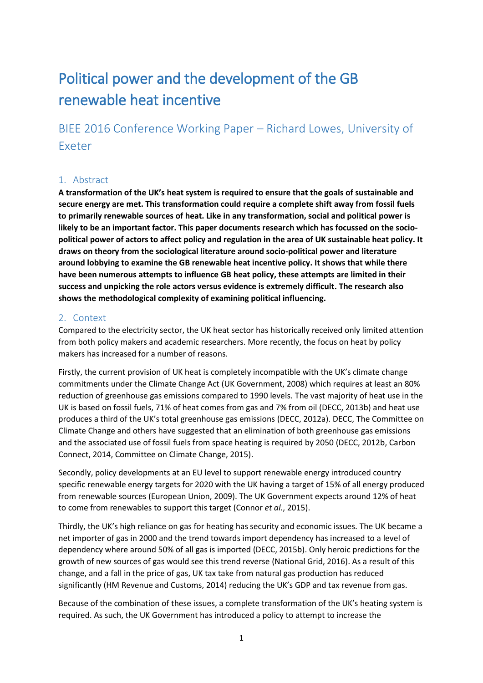# Political power and the development of the GB renewable heat incentive

BIEE 2016 Conference Working Paper – Richard Lowes, University of Exeter

## 1. Abstract

**A transformation of the UK's heat system is required to ensure that the goals of sustainable and secure energy are met. This transformation could require a complete shift away from fossil fuels to primarily renewable sources of heat. Like in any transformation, social and political power is likely to be an important factor. This paper documents research which has focussed on the sociopolitical power of actors to affect policy and regulation in the area of UK sustainable heat policy. It draws on theory from the sociological literature around socio-political power and literature around lobbying to examine the GB renewable heat incentive policy. It shows that while there have been numerous attempts to influence GB heat policy, these attempts are limited in their success and unpicking the role actors versus evidence is extremely difficult. The research also shows the methodological complexity of examining political influencing.**

#### 2. Context

Compared to the electricity sector, the UK heat sector has historically received only limited attention from both policy makers and academic researchers. More recently, the focus on heat by policy makers has increased for a number of reasons.

Firstly, the current provision of UK heat is completely incompatible with the UK's climate change commitments under the Climate Change Act (UK Government, 2008) which requires at least an 80% reduction of greenhouse gas emissions compared to 1990 levels. The vast majority of heat use in the UK is based on fossil fuels, 71% of heat comes from gas and 7% from oil (DECC, 2013b) and heat use produces a third of the UK's total greenhouse gas emissions (DECC, 2012a). DECC, The Committee on Climate Change and others have suggested that an elimination of both greenhouse gas emissions and the associated use of fossil fuels from space heating is required by 2050 (DECC, 2012b, Carbon Connect, 2014, Committee on Climate Change, 2015).

Secondly, policy developments at an EU level to support renewable energy introduced country specific renewable energy targets for 2020 with the UK having a target of 15% of all energy produced from renewable sources (European Union, 2009). The UK Government expects around 12% of heat to come from renewables to support this target (Connor *et al.*, 2015).

Thirdly, the UK's high reliance on gas for heating has security and economic issues. The UK became a net importer of gas in 2000 and the trend towards import dependency has increased to a level of dependency where around 50% of all gas is imported (DECC, 2015b). Only heroic predictions for the growth of new sources of gas would see this trend reverse (National Grid, 2016). As a result of this change, and a fall in the price of gas, UK tax take from natural gas production has reduced significantly (HM Revenue and Customs, 2014) reducing the UK's GDP and tax revenue from gas.

Because of the combination of these issues, a complete transformation of the UK's heating system is required. As such, the UK Government has introduced a policy to attempt to increase the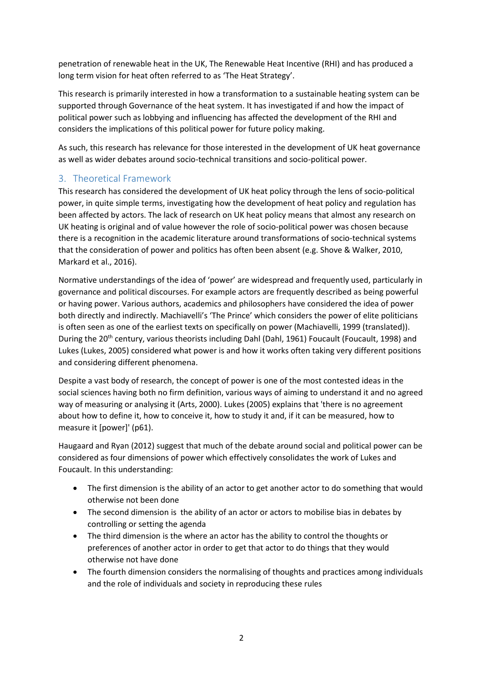penetration of renewable heat in the UK, The Renewable Heat Incentive (RHI) and has produced a long term vision for heat often referred to as 'The Heat Strategy'.

This research is primarily interested in how a transformation to a sustainable heating system can be supported through Governance of the heat system. It has investigated if and how the impact of political power such as lobbying and influencing has affected the development of the RHI and considers the implications of this political power for future policy making.

As such, this research has relevance for those interested in the development of UK heat governance as well as wider debates around socio-technical transitions and socio-political power.

# 3. Theoretical Framework

This research has considered the development of UK heat policy through the lens of socio-political power, in quite simple terms, investigating how the development of heat policy and regulation has been affected by actors. The lack of research on UK heat policy means that almost any research on UK heating is original and of value however the role of socio-political power was chosen because there is a recognition in the academic literature around transformations of socio-technical systems that the consideration of power and politics has often been absent (e.g. Shove & Walker, 2010, Markard et al., 2016).

Normative understandings of the idea of 'power' are widespread and frequently used, particularly in governance and political discourses. For example actors are frequently described as being powerful or having power. Various authors, academics and philosophers have considered the idea of power both directly and indirectly. Machiavelli's 'The Prince' which considers the power of elite politicians is often seen as one of the earliest texts on specifically on power (Machiavelli, 1999 (translated)). During the 20<sup>th</sup> century, various theorists including Dahl (Dahl, 1961) Foucault (Foucault, 1998) and Lukes (Lukes, 2005) considered what power is and how it works often taking very different positions and considering different phenomena.

Despite a vast body of research, the concept of power is one of the most contested ideas in the social sciences having both no firm definition, various ways of aiming to understand it and no agreed way of measuring or analysing it (Arts, 2000). Lukes (2005) explains that 'there is no agreement about how to define it, how to conceive it, how to study it and, if it can be measured, how to measure it [power]' (p61).

Haugaard and Ryan (2012) suggest that much of the debate around social and political power can be considered as four dimensions of power which effectively consolidates the work of Lukes and Foucault. In this understanding:

- The first dimension is the ability of an actor to get another actor to do something that would otherwise not been done
- The second dimension is the ability of an actor or actors to mobilise bias in debates by controlling or setting the agenda
- The third dimension is the where an actor has the ability to control the thoughts or preferences of another actor in order to get that actor to do things that they would otherwise not have done
- The fourth dimension considers the normalising of thoughts and practices among individuals and the role of individuals and society in reproducing these rules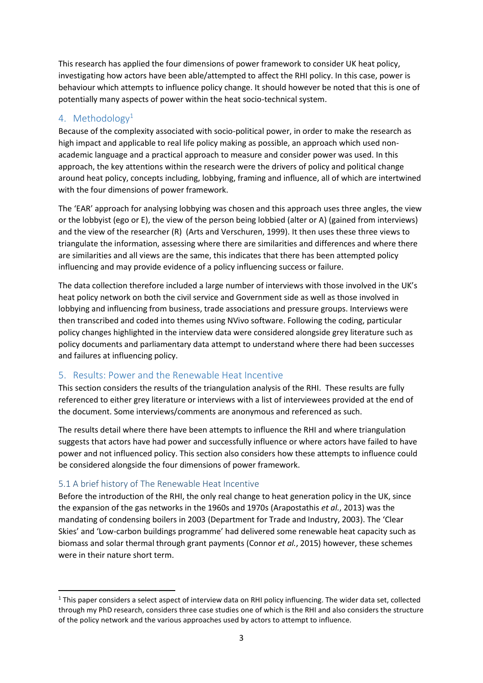This research has applied the four dimensions of power framework to consider UK heat policy, investigating how actors have been able/attempted to affect the RHI policy. In this case, power is behaviour which attempts to influence policy change. It should however be noted that this is one of potentially many aspects of power within the heat socio-technical system.

# 4. Methodology<sup>1</sup>

Because of the complexity associated with socio-political power, in order to make the research as high impact and applicable to real life policy making as possible, an approach which used nonacademic language and a practical approach to measure and consider power was used. In this approach, the key attentions within the research were the drivers of policy and political change around heat policy, concepts including, lobbying, framing and influence, all of which are intertwined with the four dimensions of power framework.

The 'EAR' approach for analysing lobbying was chosen and this approach uses three angles, the view or the lobbyist (ego or E), the view of the person being lobbied (alter or A) (gained from interviews) and the view of the researcher (R) (Arts and Verschuren, 1999). It then uses these three views to triangulate the information, assessing where there are similarities and differences and where there are similarities and all views are the same, this indicates that there has been attempted policy influencing and may provide evidence of a policy influencing success or failure.

The data collection therefore included a large number of interviews with those involved in the UK's heat policy network on both the civil service and Government side as well as those involved in lobbying and influencing from business, trade associations and pressure groups. Interviews were then transcribed and coded into themes using NVivo software. Following the coding, particular policy changes highlighted in the interview data were considered alongside grey literature such as policy documents and parliamentary data attempt to understand where there had been successes and failures at influencing policy.

# 5. Results: Power and the Renewable Heat Incentive

This section considers the results of the triangulation analysis of the RHI. These results are fully referenced to either grey literature or interviews with a list of interviewees provided at the end of the document. Some interviews/comments are anonymous and referenced as such.

The results detail where there have been attempts to influence the RHI and where triangulation suggests that actors have had power and successfully influence or where actors have failed to have power and not influenced policy. This section also considers how these attempts to influence could be considered alongside the four dimensions of power framework.

# 5.1 A brief history of The Renewable Heat Incentive

**.** 

Before the introduction of the RHI, the only real change to heat generation policy in the UK, since the expansion of the gas networks in the 1960s and 1970s (Arapostathis *et al.*, 2013) was the mandating of condensing boilers in 2003 (Department for Trade and Industry, 2003). The 'Clear Skies' and 'Low-carbon buildings programme' had delivered some renewable heat capacity such as biomass and solar thermal through grant payments (Connor *et al.*, 2015) however, these schemes were in their nature short term.

<sup>&</sup>lt;sup>1</sup> This paper considers a select aspect of interview data on RHI policy influencing. The wider data set, collected through my PhD research, considers three case studies one of which is the RHI and also considers the structure of the policy network and the various approaches used by actors to attempt to influence.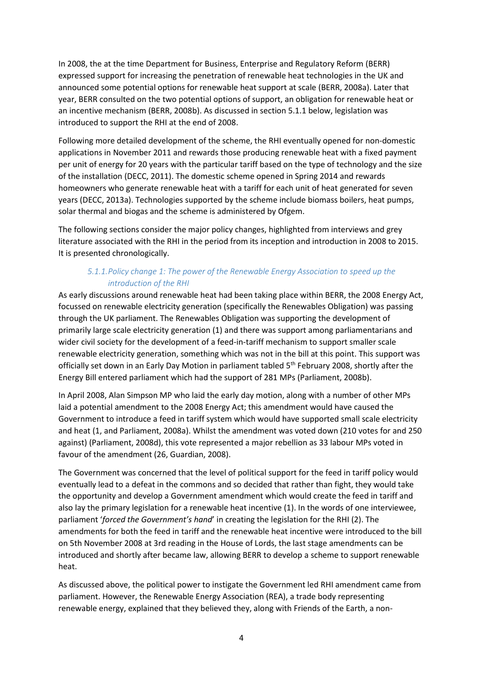In 2008, the at the time Department for Business, Enterprise and Regulatory Reform (BERR) expressed support for increasing the penetration of renewable heat technologies in the UK and announced some potential options for renewable heat support at scale (BERR, 2008a). Later that year, BERR consulted on the two potential options of support, an obligation for renewable heat or an incentive mechanism (BERR, 2008b). As discussed in section [5.1.1](#page-3-0) below, legislation was introduced to support the RHI at the end of 2008.

Following more detailed development of the scheme, the RHI eventually opened for non-domestic applications in November 2011 and rewards those producing renewable heat with a fixed payment per unit of energy for 20 years with the particular tariff based on the type of technology and the size of the installation (DECC, 2011). The domestic scheme opened in Spring 2014 and rewards homeowners who generate renewable heat with a tariff for each unit of heat generated for seven years (DECC, 2013a). Technologies supported by the scheme include biomass boilers, heat pumps, solar thermal and biogas and the scheme is administered by Ofgem.

The following sections consider the major policy changes, highlighted from interviews and grey literature associated with the RHI in the period from its inception and introduction in 2008 to 2015. It is presented chronologically.

## *5.1.1.Policy change 1: The power of the Renewable Energy Association to speed up the introduction of the RHI*

<span id="page-3-0"></span>As early discussions around renewable heat had been taking place within BERR, the 2008 Energy Act, focussed on renewable electricity generation (specifically the Renewables Obligation) was passing through the UK parliament. The Renewables Obligation was supporting the development of primarily large scale electricity generation (1) and there was support among parliamentarians and wider civil society for the development of a feed-in-tariff mechanism to support smaller scale renewable electricity generation, something which was not in the bill at this point. This support was officially set down in an Early Day Motion in parliament tabled 5<sup>th</sup> February 2008, shortly after the Energy Bill entered parliament which had the support of 281 MPs (Parliament, 2008b).

In April 2008, Alan Simpson MP who laid the early day motion, along with a number of other MPs laid a potential amendment to the 2008 Energy Act; this amendment would have caused the Government to introduce a feed in tariff system which would have supported small scale electricity and heat (1, and Parliament, 2008a). Whilst the amendment was voted down (210 votes for and 250 against) (Parliament, 2008d), this vote represented a major rebellion as 33 labour MPs voted in favour of the amendment (26, Guardian, 2008).

The Government was concerned that the level of political support for the feed in tariff policy would eventually lead to a defeat in the commons and so decided that rather than fight, they would take the opportunity and develop a Government amendment which would create the feed in tariff and also lay the primary legislation for a renewable heat incentive (1). In the words of one interviewee, parliament '*forced the Government's hand*' in creating the legislation for the RHI (2). The amendments for both the feed in tariff and the renewable heat incentive were introduced to the bill on 5th November 2008 at 3rd reading in the House of Lords, the last stage amendments can be introduced and shortly after became law, allowing BERR to develop a scheme to support renewable heat.

As discussed above, the political power to instigate the Government led RHI amendment came from parliament. However, the Renewable Energy Association (REA), a trade body representing renewable energy, explained that they believed they, along with Friends of the Earth, a non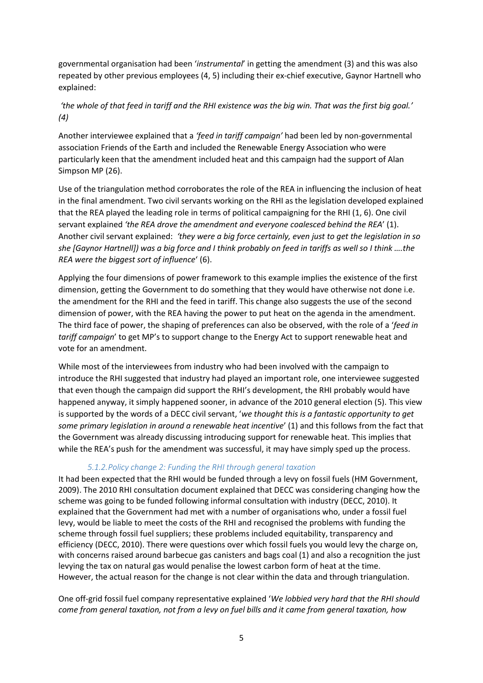governmental organisation had been '*instrumental*' in getting the amendment (3) and this was also repeated by other previous employees (4, 5) including their ex-chief executive, Gaynor Hartnell who explained:

# *'the whole of that feed in tariff and the RHI existence was the big win. That was the first big goal.' (4)*

Another interviewee explained that a *'feed in tariff campaign'* had been led by non-governmental association Friends of the Earth and included the Renewable Energy Association who were particularly keen that the amendment included heat and this campaign had the support of Alan Simpson MP (26).

Use of the triangulation method corroborates the role of the REA in influencing the inclusion of heat in the final amendment. Two civil servants working on the RHI as the legislation developed explained that the REA played the leading role in terms of political campaigning for the RHI (1, 6). One civil servant explained *'the REA drove the amendment and everyone coalesced behind the REA*' (1). Another civil servant explained: *'they were a big force certainly, even just to get the legislation in so she [Gaynor Hartnell]) was a big force and I think probably on feed in tariffs as well so I think ….the REA were the biggest sort of influence*' (6).

Applying the four dimensions of power framework to this example implies the existence of the first dimension, getting the Government to do something that they would have otherwise not done i.e. the amendment for the RHI and the feed in tariff. This change also suggests the use of the second dimension of power, with the REA having the power to put heat on the agenda in the amendment. The third face of power, the shaping of preferences can also be observed, with the role of a '*feed in tariff campaign*' to get MP's to support change to the Energy Act to support renewable heat and vote for an amendment.

While most of the interviewees from industry who had been involved with the campaign to introduce the RHI suggested that industry had played an important role, one interviewee suggested that even though the campaign did support the RHI's development, the RHI probably would have happened anyway, it simply happened sooner, in advance of the 2010 general election (5). This view is supported by the words of a DECC civil servant, '*we thought this is a fantastic opportunity to get some primary legislation in around a renewable heat incentive*' (1) and this follows from the fact that the Government was already discussing introducing support for renewable heat. This implies that while the REA's push for the amendment was successful, it may have simply sped up the process.

## *5.1.2.Policy change 2: Funding the RHI through general taxation*

<span id="page-4-0"></span>It had been expected that the RHI would be funded through a levy on fossil fuels (HM Government, 2009). The 2010 RHI consultation document explained that DECC was considering changing how the scheme was going to be funded following informal consultation with industry (DECC, 2010). It explained that the Government had met with a number of organisations who, under a fossil fuel levy, would be liable to meet the costs of the RHI and recognised the problems with funding the scheme through fossil fuel suppliers; these problems included equitability, transparency and efficiency (DECC, 2010). There were questions over which fossil fuels you would levy the charge on, with concerns raised around barbecue gas canisters and bags coal (1) and also a recognition the just levying the tax on natural gas would penalise the lowest carbon form of heat at the time. However, the actual reason for the change is not clear within the data and through triangulation.

One off-grid fossil fuel company representative explained '*We lobbied very hard that the RHI should come from general taxation, not from a levy on fuel bills and it came from general taxation, how*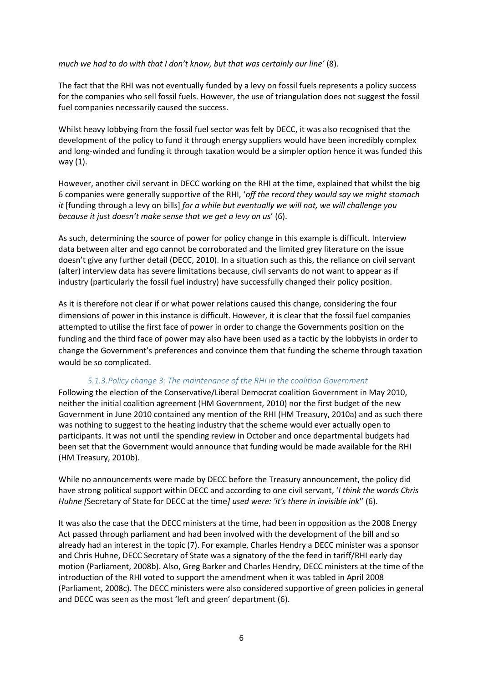#### *much we had to do with that I don't know, but that was certainly our line'* (8).

The fact that the RHI was not eventually funded by a levy on fossil fuels represents a policy success for the companies who sell fossil fuels. However, the use of triangulation does not suggest the fossil fuel companies necessarily caused the success.

Whilst heavy lobbying from the fossil fuel sector was felt by DECC, it was also recognised that the development of the policy to fund it through energy suppliers would have been incredibly complex and long-winded and funding it through taxation would be a simpler option hence it was funded this way (1).

However, another civil servant in DECC working on the RHI at the time, explained that whilst the big 6 companies were generally supportive of the RHI, '*off the record they would say we might stomach it* [funding through a levy on bills] *for a while but eventually we will not, we will challenge you because it just doesn't make sense that we get a levy on us*' (6).

As such, determining the source of power for policy change in this example is difficult. Interview data between alter and ego cannot be corroborated and the limited grey literature on the issue doesn't give any further detail (DECC, 2010). In a situation such as this, the reliance on civil servant (alter) interview data has severe limitations because, civil servants do not want to appear as if industry (particularly the fossil fuel industry) have successfully changed their policy position.

As it is therefore not clear if or what power relations caused this change, considering the four dimensions of power in this instance is difficult. However, it is clear that the fossil fuel companies attempted to utilise the first face of power in order to change the Governments position on the funding and the third face of power may also have been used as a tactic by the lobbyists in order to change the Government's preferences and convince them that funding the scheme through taxation would be so complicated.

#### *5.1.3.Policy change 3: The maintenance of the RHI in the coalition Government*

Following the election of the Conservative/Liberal Democrat coalition Government in May 2010, neither the initial coalition agreement (HM Government, 2010) nor the first budget of the new Government in June 2010 contained any mention of the RHI (HM Treasury, 2010a) and as such there was nothing to suggest to the heating industry that the scheme would ever actually open to participants. It was not until the spending review in October and once departmental budgets had been set that the Government would announce that funding would be made available for the RHI (HM Treasury, 2010b).

While no announcements were made by DECC before the Treasury announcement, the policy did have strong political support within DECC and according to one civil servant, '*I think the words Chris Huhne [*Secretary of State for DECC at the time*] used were: 'it's there in invisible ink*'' (6).

It was also the case that the DECC ministers at the time, had been in opposition as the 2008 Energy Act passed through parliament and had been involved with the development of the bill and so already had an interest in the topic (7). For example, Charles Hendry a DECC minister was a sponsor and Chris Huhne, DECC Secretary of State was a signatory of the the feed in tariff/RHI early day motion (Parliament, 2008b). Also, Greg Barker and Charles Hendry, DECC ministers at the time of the introduction of the RHI voted to support the amendment when it was tabled in April 2008 (Parliament, 2008c). The DECC ministers were also considered supportive of green policies in general and DECC was seen as the most 'left and green' department (6).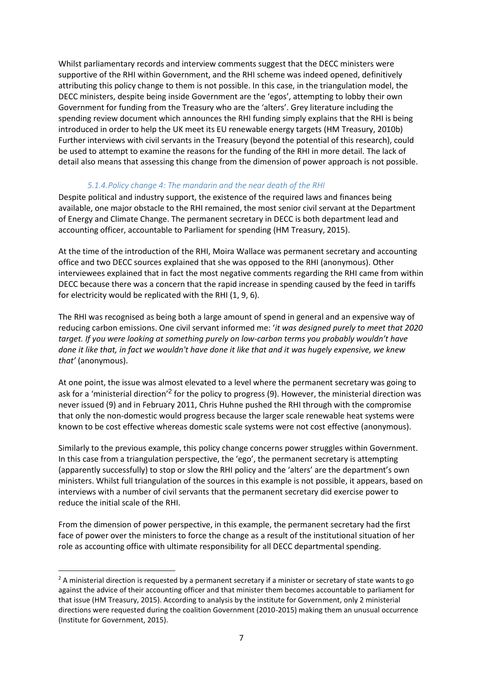Whilst parliamentary records and interview comments suggest that the DECC ministers were supportive of the RHI within Government, and the RHI scheme was indeed opened, definitively attributing this policy change to them is not possible. In this case, in the triangulation model, the DECC ministers, despite being inside Government are the 'egos', attempting to lobby their own Government for funding from the Treasury who are the 'alters'. Grey literature including the spending review document which announces the RHI funding simply explains that the RHI is being introduced in order to help the UK meet its EU renewable energy targets (HM Treasury, 2010b) Further interviews with civil servants in the Treasury (beyond the potential of this research), could be used to attempt to examine the reasons for the funding of the RHI in more detail. The lack of detail also means that assessing this change from the dimension of power approach is not possible.

#### *5.1.4.Policy change 4: The mandarin and the near death of the RHI*

Despite political and industry support, the existence of the required laws and finances being available, one major obstacle to the RHI remained, the most senior civil servant at the Department of Energy and Climate Change. The permanent secretary in DECC is both department lead and accounting officer, accountable to Parliament for spending (HM Treasury, 2015).

At the time of the introduction of the RHI, Moira Wallace was permanent secretary and accounting office and two DECC sources explained that she was opposed to the RHI (anonymous). Other interviewees explained that in fact the most negative comments regarding the RHI came from within DECC because there was a concern that the rapid increase in spending caused by the feed in tariffs for electricity would be replicated with the RHI (1, 9, 6).

The RHI was recognised as being both a large amount of spend in general and an expensive way of reducing carbon emissions. One civil servant informed me: '*it was designed purely to meet that 2020 target. If you were looking at something purely on low-carbon terms you probably wouldn't have done it like that, in fact we wouldn't have done it like that and it was hugely expensive, we knew that'* (anonymous).

At one point, the issue was almost elevated to a level where the permanent secretary was going to ask for a 'ministerial direction'<sup>2</sup> for the policy to progress (9). However, the ministerial direction was never issued (9) and in February 2011, Chris Huhne pushed the RHI through with the compromise that only the non-domestic would progress because the larger scale renewable heat systems were known to be cost effective whereas domestic scale systems were not cost effective (anonymous).

Similarly to the previous example, this policy change concerns power struggles within Government. In this case from a triangulation perspective, the 'ego', the permanent secretary is attempting (apparently successfully) to stop or slow the RHI policy and the 'alters' are the department's own ministers. Whilst full triangulation of the sources in this example is not possible, it appears, based on interviews with a number of civil servants that the permanent secretary did exercise power to reduce the initial scale of the RHI.

From the dimension of power perspective, in this example, the permanent secretary had the first face of power over the ministers to force the change as a result of the institutional situation of her role as accounting office with ultimate responsibility for all DECC departmental spending.

 $\overline{a}$ 

 $2$  A ministerial direction is requested by a permanent secretary if a minister or secretary of state wants to go against the advice of their accounting officer and that minister them becomes accountable to parliament for that issue (HM Treasury, 2015). According to analysis by the institute for Government, only 2 ministerial directions were requested during the coalition Government (2010-2015) making them an unusual occurrence (Institute for Government, 2015).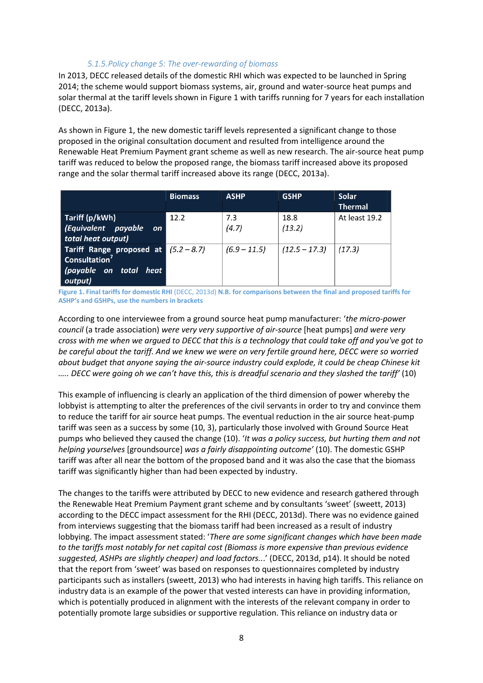#### *5.1.5.Policy change 5: The over-rewarding of biomass*

In 2013, DECC released details of the domestic RHI which was expected to be launched in Spring 2014; the scheme would support biomass systems, air, ground and water-source heat pumps and solar thermal at the tariff levels shown in [Figure 1](#page-7-0) with tariffs running for 7 years for each installation (DECC, 2013a).

As shown in [Figure 1,](#page-7-0) the new domestic tariff levels represented a significant change to those proposed in the original consultation document and resulted from intelligence around the Renewable Heat Premium Payment grant scheme as well as new research. The air-source heat pump tariff was reduced to below the proposed range, the biomass tariff increased above its proposed range and the solar thermal tariff increased above its range (DECC, 2013a).

|                                                                                                          | <b>Biomass</b> | <b>ASHP</b>    | <b>GSHP</b>     | Solar<br><b>Thermal</b> |
|----------------------------------------------------------------------------------------------------------|----------------|----------------|-----------------|-------------------------|
| Tariff (p/kWh)<br>(Equivalent payable<br><b>on</b><br>total heat output)                                 | 12.2           | 7.3<br>(4.7)   | 18.8<br>(13.2)  | At least 19.2           |
| Tariff Range proposed at $(5.2 - 8.7)$<br>Consultation <sup>7</sup><br>(payable on total heat<br>output) |                | $(6.9 - 11.5)$ | $(12.5 - 17.3)$ | (17.3)                  |

<span id="page-7-0"></span>**Figure 1. Final tariffs for domestic RHI** (DECC, 2013d) **N.B. for comparisons between the final and proposed tariffs for ASHP's and GSHPs, use the numbers in brackets**

According to one interviewee from a ground source heat pump manufacturer: '*the micro-power council* (a trade association) *were very very supportive of air-source* [heat pumps] *and were very cross with me when we argued to DECC that this is a technology that could take off and you've got to be careful about the tariff. And we knew we were on very fertile ground here, DECC were so worried about budget that anyone saying the air-source industry could explode, it could be cheap Chinese kit ….. DECC were going oh we can't have this, this is dreadful scenario and they slashed the tariff'* (10)

This example of influencing is clearly an application of the third dimension of power whereby the lobbyist is attempting to alter the preferences of the civil servants in order to try and convince them to reduce the tariff for air source heat pumps. The eventual reduction in the air source heat-pump tariff was seen as a success by some (10, 3), particularly those involved with Ground Source Heat pumps who believed they caused the change (10). '*It was a policy success, but hurting them and not helping yourselves* [groundsource] *was a fairly disappointing outcome'* (10). The domestic GSHP tariff was after all near the bottom of the proposed band and it was also the case that the biomass tariff was significantly higher than had been expected by industry.

The changes to the tariffs were attributed by DECC to new evidence and research gathered through the Renewable Heat Premium Payment grant scheme and by consultants 'sweet' (sweett, 2013) according to the DECC impact assessment for the RHI (DECC, 2013d). There was no evidence gained from interviews suggesting that the biomass tariff had been increased as a result of industry lobbying. The impact assessment stated: '*There are some significant changes which have been made to the tariffs most notably for net capital cost (Biomass is more expensive than previous evidence suggested, ASHPs are slightly cheaper) and load factors..*.' (DECC, 2013d, p14). It should be noted that the report from 'sweet' was based on responses to questionnaires completed by industry participants such as installers (sweett, 2013) who had interests in having high tariffs. This reliance on industry data is an example of the power that vested interests can have in providing information, which is potentially produced in alignment with the interests of the relevant company in order to potentially promote large subsidies or supportive regulation. This reliance on industry data or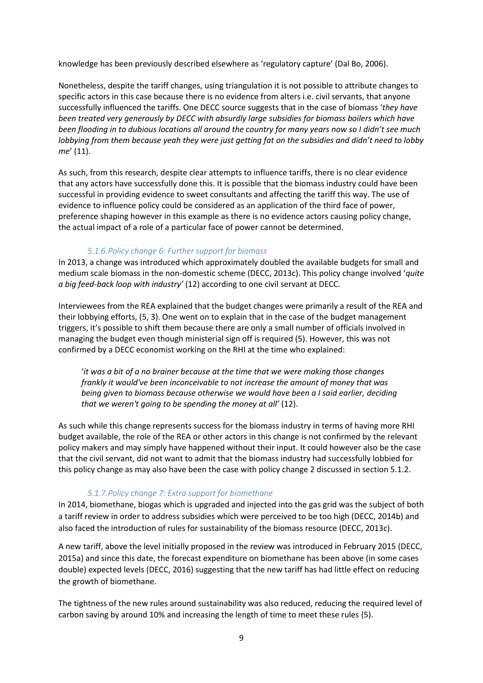knowledge has been previously described elsewhere as 'regulatory capture' (Dal Bo, 2006).

Nonetheless, despite the tariff changes, using triangulation it is not possible to attribute changes to specific actors in this case because there is no evidence from alters i.e. civil servants, that anyone successfully influenced the tariffs. One DECC source suggests that in the case of biomass '*they have been treated very generously by DECC with absurdly large subsidies for biomass boilers which have been flooding in to dubious locations all around the country for many years now so I didn't see much lobbying from them because yeah they were just getting fat on the subsidies and didn't need to lobby me*' (11).

As such, from this research, despite clear attempts to influence tariffs, there is no clear evidence that any actors have successfully done this. It is possible that the biomass industry could have been successful in providing evidence to sweet consultants and affecting the tariff this way. The use of evidence to influence policy could be considered as an application of the third face of power, preference shaping however in this example as there is no evidence actors causing policy change, the actual impact of a role of a particular face of power cannot be determined.

## *5.1.6.Policy change 6: Further support for biomass*

In 2013, a change was introduced which approximately doubled the available budgets for small and medium scale biomass in the non-domestic scheme (DECC, 2013c). This policy change involved '*quite a big feed-back loop with industry'* (12) according to one civil servant at DECC.

Interviewees from the REA explained that the budget changes were primarily a result of the REA and their lobbying efforts, (5, 3). One went on to explain that in the case of the budget management triggers, it's possible to shift them because there are only a small number of officials involved in managing the budget even though ministerial sign off is required (5). However, this was not confirmed by a DECC economist working on the RHI at the time who explained:

'*it was a bit of a no brainer because at the time that we were making those changes frankly it would've been inconceivable to not increase the amount of money that was being given to biomass because otherwise we would have been a I said earlier, deciding that we weren't going to be spending the money at all'* (12).

As such while this change represents success for the biomass industry in terms of having more RHI budget available, the role of the REA or other actors in this change is not confirmed by the relevant policy makers and may simply have happened without their input. It could however also be the case that the civil servant, did not want to admit that the biomass industry had successfully lobbied for this policy change as may also have been the case with policy change 2 discussed in section [5.1.2.](#page-4-0)

## *5.1.7.Policy change 7: Extra support for biomethane*

In 2014, biomethane, biogas which is upgraded and injected into the gas grid was the subject of both a tariff review in order to address subsidies which were perceived to be too high (DECC, 2014b) and also faced the introduction of rules for sustainability of the biomass resource (DECC, 2013c).

A new tariff, above the level initially proposed in the review was introduced in February 2015 (DECC, 2015a) and since this date, the forecast expenditure on biomethane has been above (in some cases double) expected levels (DECC, 2016) suggesting that the new tariff has had little effect on reducing the growth of biomethane.

The tightness of the new rules around sustainability was also reduced, reducing the required level of carbon saving by around 10% and increasing the length of time to meet these rules (5).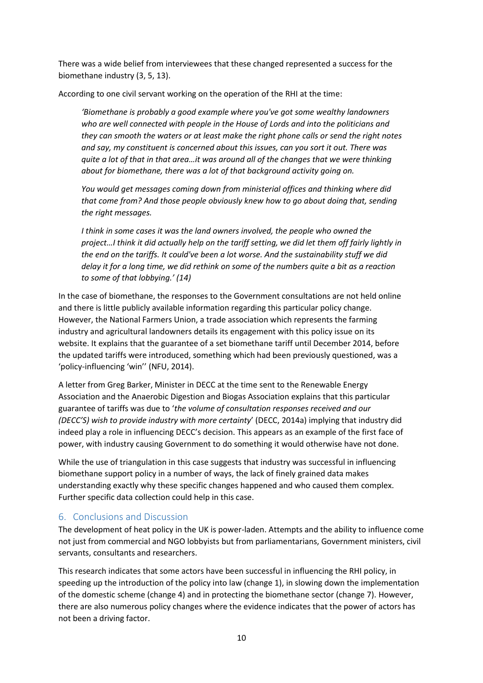There was a wide belief from interviewees that these changed represented a success for the biomethane industry (3, 5, 13).

According to one civil servant working on the operation of the RHI at the time:

*'Biomethane is probably a good example where you've got some wealthy landowners who are well connected with people in the House of Lords and into the politicians and they can smooth the waters or at least make the right phone calls or send the right notes and say, my constituent is concerned about this issues, can you sort it out. There was quite a lot of that in that area…it was around all of the changes that we were thinking about for biomethane, there was a lot of that background activity going on.*

*You would get messages coming down from ministerial offices and thinking where did that come from? And those people obviously knew how to go about doing that, sending the right messages.*

*I think in some cases it was the land owners involved, the people who owned the project…I think it did actually help on the tariff setting, we did let them off fairly lightly in the end on the tariffs. It could've been a lot worse. And the sustainability stuff we did delay it for a long time, we did rethink on some of the numbers quite a bit as a reaction to some of that lobbying.' (14)*

In the case of biomethane, the responses to the Government consultations are not held online and there is little publicly available information regarding this particular policy change. However, the National Farmers Union, a trade association which represents the farming industry and agricultural landowners details its engagement with this policy issue on its website. It explains that the guarantee of a set biomethane tariff until December 2014, before the updated tariffs were introduced, something which had been previously questioned, was a 'policy-influencing 'win'' (NFU, 2014).

A letter from Greg Barker, Minister in DECC at the time sent to the Renewable Energy Association and the Anaerobic Digestion and Biogas Association explains that this particular guarantee of tariffs was due to '*the volume of consultation responses received and our (DECC'S) wish to provide industry with more certainty*' (DECC, 2014a) implying that industry did indeed play a role in influencing DECC's decision. This appears as an example of the first face of power, with industry causing Government to do something it would otherwise have not done.

While the use of triangulation in this case suggests that industry was successful in influencing biomethane support policy in a number of ways, the lack of finely grained data makes understanding exactly why these specific changes happened and who caused them complex. Further specific data collection could help in this case.

# 6. Conclusions and Discussion

The development of heat policy in the UK is power-laden. Attempts and the ability to influence come not just from commercial and NGO lobbyists but from parliamentarians, Government ministers, civil servants, consultants and researchers.

This research indicates that some actors have been successful in influencing the RHI policy, in speeding up the introduction of the policy into law (change 1), in slowing down the implementation of the domestic scheme (change 4) and in protecting the biomethane sector (change 7). However, there are also numerous policy changes where the evidence indicates that the power of actors has not been a driving factor.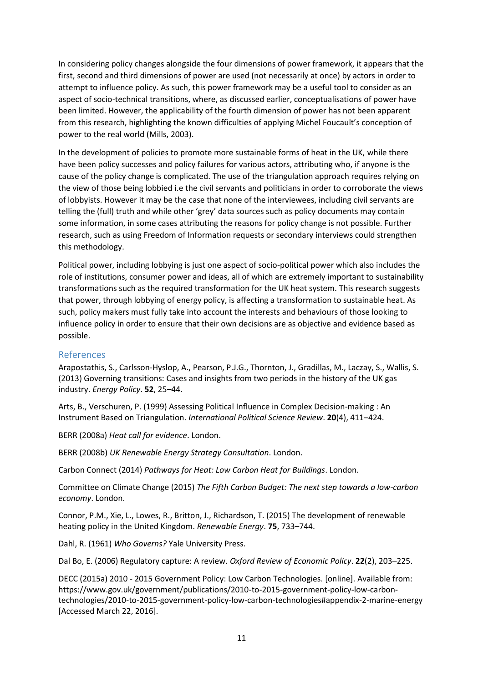In considering policy changes alongside the four dimensions of power framework, it appears that the first, second and third dimensions of power are used (not necessarily at once) by actors in order to attempt to influence policy. As such, this power framework may be a useful tool to consider as an aspect of socio-technical transitions, where, as discussed earlier, conceptualisations of power have been limited. However, the applicability of the fourth dimension of power has not been apparent from this research, highlighting the known difficulties of applying Michel Foucault's conception of power to the real world (Mills, 2003).

In the development of policies to promote more sustainable forms of heat in the UK, while there have been policy successes and policy failures for various actors, attributing who, if anyone is the cause of the policy change is complicated. The use of the triangulation approach requires relying on the view of those being lobbied i.e the civil servants and politicians in order to corroborate the views of lobbyists. However it may be the case that none of the interviewees, including civil servants are telling the (full) truth and while other 'grey' data sources such as policy documents may contain some information, in some cases attributing the reasons for policy change is not possible. Further research, such as using Freedom of Information requests or secondary interviews could strengthen this methodology.

Political power, including lobbying is just one aspect of socio-political power which also includes the role of institutions, consumer power and ideas, all of which are extremely important to sustainability transformations such as the required transformation for the UK heat system. This research suggests that power, through lobbying of energy policy, is affecting a transformation to sustainable heat. As such, policy makers must fully take into account the interests and behaviours of those looking to influence policy in order to ensure that their own decisions are as objective and evidence based as possible.

## References

Arapostathis, S., Carlsson-Hyslop, A., Pearson, P.J.G., Thornton, J., Gradillas, M., Laczay, S., Wallis, S. (2013) Governing transitions: Cases and insights from two periods in the history of the UK gas industry. *Energy Policy*. **52**, 25–44.

Arts, B., Verschuren, P. (1999) Assessing Political Influence in Complex Decision-making : An Instrument Based on Triangulation. *International Political Science Review*. **20**(4), 411–424.

BERR (2008a) *Heat call for evidence*. London.

BERR (2008b) *UK Renewable Energy Strategy Consultation*. London.

Carbon Connect (2014) *Pathways for Heat: Low Carbon Heat for Buildings*. London.

Committee on Climate Change (2015) *The Fifth Carbon Budget: The next step towards a low-carbon economy*. London.

Connor, P.M., Xie, L., Lowes, R., Britton, J., Richardson, T. (2015) The development of renewable heating policy in the United Kingdom. *Renewable Energy*. **75**, 733–744.

Dahl, R. (1961) *Who Governs?* Yale University Press.

Dal Bo, E. (2006) Regulatory capture: A review. *Oxford Review of Economic Policy*. **22**(2), 203–225.

DECC (2015a) 2010 - 2015 Government Policy: Low Carbon Technologies. [online]. Available from: https://www.gov.uk/government/publications/2010-to-2015-government-policy-low-carbontechnologies/2010-to-2015-government-policy-low-carbon-technologies#appendix-2-marine-energy [Accessed March 22, 2016].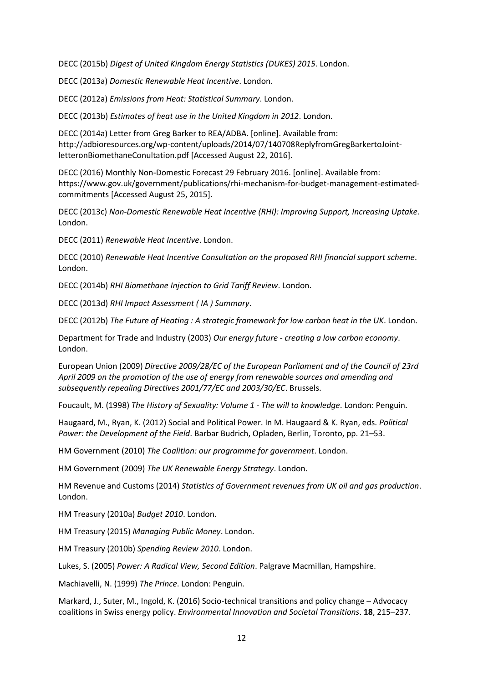DECC (2015b) *Digest of United Kingdom Energy Statistics (DUKES) 2015*. London.

DECC (2013a) *Domestic Renewable Heat Incentive*. London.

DECC (2012a) *Emissions from Heat: Statistical Summary*. London.

DECC (2013b) *Estimates of heat use in the United Kingdom in 2012*. London.

DECC (2014a) Letter from Greg Barker to REA/ADBA. [online]. Available from: http://adbioresources.org/wp-content/uploads/2014/07/140708ReplyfromGregBarkertoJointletteronBiomethaneConultation.pdf [Accessed August 22, 2016].

DECC (2016) Monthly Non-Domestic Forecast 29 February 2016. [online]. Available from: https://www.gov.uk/government/publications/rhi-mechanism-for-budget-management-estimatedcommitments [Accessed August 25, 2015].

DECC (2013c) *Non-Domestic Renewable Heat Incentive (RHI): Improving Support, Increasing Uptake*. London.

DECC (2011) *Renewable Heat Incentive*. London.

DECC (2010) *Renewable Heat Incentive Consultation on the proposed RHI financial support scheme*. London.

DECC (2014b) *RHI Biomethane Injection to Grid Tariff Review*. London.

DECC (2013d) *RHI Impact Assessment ( IA ) Summary*.

DECC (2012b) *The Future of Heating : A strategic framework for low carbon heat in the UK*. London.

Department for Trade and Industry (2003) *Our energy future - creating a low carbon economy*. London.

European Union (2009) *Directive 2009/28/EC of the European Parliament and of the Council of 23rd April 2009 on the promotion of the use of energy from renewable sources and amending and subsequently repealing Directives 2001/77/EC and 2003/30/EC*. Brussels.

Foucault, M. (1998) *The History of Sexuality: Volume 1 - The will to knowledge*. London: Penguin.

Haugaard, M., Ryan, K. (2012) Social and Political Power. In M. Haugaard & K. Ryan, eds. *Political Power: the Development of the Field*. Barbar Budrich, Opladen, Berlin, Toronto, pp. 21–53.

HM Government (2010) *The Coalition: our programme for government*. London.

HM Government (2009) *The UK Renewable Energy Strategy*. London.

HM Revenue and Customs (2014) *Statistics of Government revenues from UK oil and gas production*. London.

HM Treasury (2010a) *Budget 2010*. London.

HM Treasury (2015) *Managing Public Money*. London.

HM Treasury (2010b) *Spending Review 2010*. London.

Lukes, S. (2005) *Power: A Radical View, Second Edition*. Palgrave Macmillan, Hampshire.

Machiavelli, N. (1999) *The Prince*. London: Penguin.

Markard, J., Suter, M., Ingold, K. (2016) Socio-technical transitions and policy change – Advocacy coalitions in Swiss energy policy. *Environmental Innovation and Societal Transitions*. **18**, 215–237.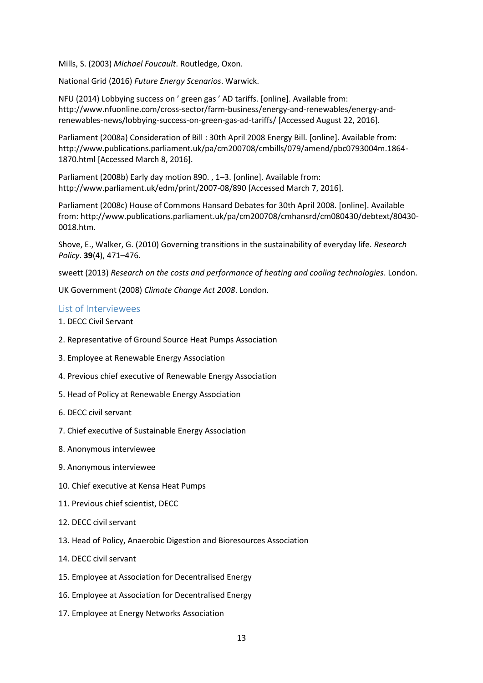Mills, S. (2003) *Michael Foucault*. Routledge, Oxon.

National Grid (2016) *Future Energy Scenarios*. Warwick.

NFU (2014) Lobbying success on ' green gas ' AD tariffs. [online]. Available from: http://www.nfuonline.com/cross-sector/farm-business/energy-and-renewables/energy-andrenewables-news/lobbying-success-on-green-gas-ad-tariffs/ [Accessed August 22, 2016].

Parliament (2008a) Consideration of Bill : 30th April 2008 Energy Bill. [online]. Available from: http://www.publications.parliament.uk/pa/cm200708/cmbills/079/amend/pbc0793004m.1864- 1870.html [Accessed March 8, 2016].

Parliament (2008b) Early day motion 890. , 1–3. [online]. Available from: http://www.parliament.uk/edm/print/2007-08/890 [Accessed March 7, 2016].

Parliament (2008c) House of Commons Hansard Debates for 30th April 2008. [online]. Available from: http://www.publications.parliament.uk/pa/cm200708/cmhansrd/cm080430/debtext/80430- 0018.htm.

Shove, E., Walker, G. (2010) Governing transitions in the sustainability of everyday life. *Research Policy*. **39**(4), 471–476.

sweett (2013) *Research on the costs and performance of heating and cooling technologies*. London.

UK Government (2008) *Climate Change Act 2008*. London.

#### List of Interviewees

- 1. DECC Civil Servant
- 2. Representative of Ground Source Heat Pumps Association
- 3. Employee at Renewable Energy Association
- 4. Previous chief executive of Renewable Energy Association
- 5. Head of Policy at Renewable Energy Association
- 6. DECC civil servant
- 7. Chief executive of Sustainable Energy Association
- 8. Anonymous interviewee
- 9. Anonymous interviewee
- 10. Chief executive at Kensa Heat Pumps
- 11. Previous chief scientist, DECC
- 12. DECC civil servant
- 13. Head of Policy, Anaerobic Digestion and Bioresources Association
- 14. DECC civil servant
- 15. Employee at Association for Decentralised Energy
- 16. Employee at Association for Decentralised Energy
- 17. Employee at Energy Networks Association